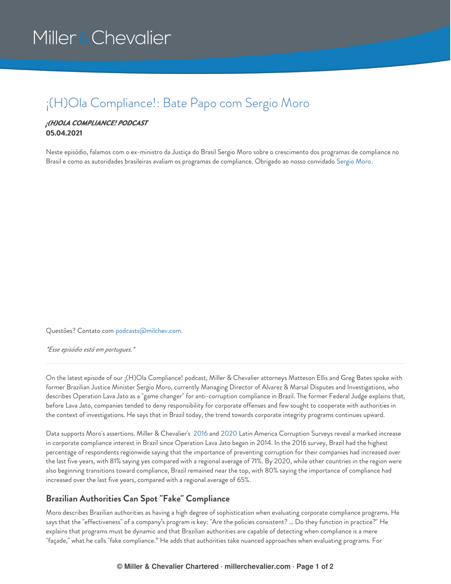# Miller & Chevalier

### ¡(H)Ola Compliance!: Bate Papo com Sergio Moro

#### *¡(H)OLA COMPLIANCE! PODCAST* **05.04.2021**

Neste episódio, falamos com o ex-ministro da Justiça do Brasil Sergio Moro sobre o crescimento dos programas de compliance no Brasil e como as autoridades brasileiras avaliam os programas de compliance. Obrigado ao nosso convidado [Sergio](https://www.alvarezandmarsal.com/our-people/sergio-moro) Moro.

Questões? Contato com [podcasts@milchev.com](mailto:podcasts@milchev.com).

*\*Esse episódio está em portugues.\**

On the latest episode of our ¡(H)Ola Compliance! podcast, Miller & Chevalier attorneys Matteson Ellis and Greg Bates spoke with former Brazilian Justice Minister Sergio Moro, currently Managing Director of Alvarez & Marsal Disputes and Investigations, who describes Operation Lava Jato as a "game changer" for anti-corruption compliance in Brazil. The former Federal Judge explains that, before Lava Jato, companies tended to deny responsibility for corporate offenses and few sought to cooperate with authorities in the context of investigations. He says that in Brazil today, the trend towards corporate integrity programs continues upward.

Data supports Moro's assertions. Miller & Chevalier's [2016](https://www.millerchevalier.com/publication/2016-latin-america-corruption-survey) and [2020](https://www.millerchevalier.com/publication/2020-latin-america-corruption-survey) Latin America Corruption Surveys reveal a marked increase in corporate compliance interest in Brazil since Operation Lava Jato began in 2014. In the 2016 survey, Brazil had the highest percentage of respondents regionwide saying that the importance of preventing corruption for their companies had increased over the last five years, with 81% saying yes compared with a regional average of 71%. By 2020, while other countries in the region were also beginning transitions toward compliance, Brazil remained near the top, with 80% saying the importance of compliance had increased over the last five years, compared with a regional average of 65%.

#### **Brazilian Authorities Can Spot "Fake" Compliance**

Moro describes Brazilian authorities as having a high degree of sophistication when evaluating corporate compliance programs. He says that the "effectiveness" of a company's program is key: "Are the policies consistent? … Do they function in practice?" He explains that programs must be dynamic and that Brazilian authorities are capable of detecting when compliance is a mere "façade," what he calls "fake compliance." He adds that authorities take nuanced approaches when evaluating programs. For